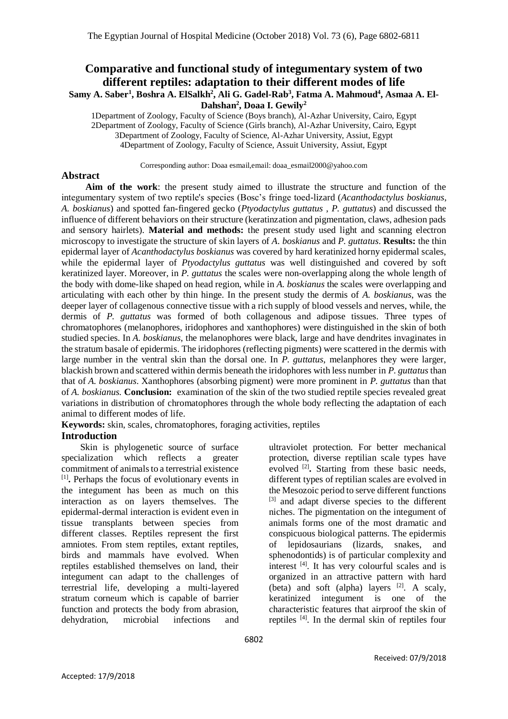### **Comparative and functional study of integumentary system of two different reptiles: adaptation to their different modes of life Samy A. Saber<sup>1</sup> , Boshra A. ElSalkh<sup>2</sup> , Ali G. Gadel-Rab<sup>3</sup> , Fatma A. Mahmoud<sup>4</sup> , Asmaa A. El-Dahshan<sup>2</sup> , Doaa I. Gewily<sup>2</sup>**

1Department of Zoology, Faculty of Science (Boys branch), Al-Azhar University, Cairo, Egypt 2Department of Zoology, Faculty of Science (Girls branch), Al-Azhar University, Cairo, Egypt 3Department of Zoology, Faculty of Science, Al-Azhar University, Assiut, Egypt 4Department of Zoology, Faculty of Science, Assuit University, Assiut, Egypt

Corresponding author: Doaa esmail,email: [doaa\\_esmail2000@yahoo.com](mailto:doaa_esmail2000@yahoo.com)

#### **Abstract**

**Aim of the work**: the present study aimed to illustrate the structure and function of the integumentary system of two reptile's species (Bosc's fringe toed-lizard (*Acanthodactylus boskianus*, *A. boskianus*) and spotted fan-fingered gecko (*Ptyodactylus guttatus , P. guttatus*) and discussed the influence of different behaviors on their structure (keratinzation and pigmentation, claws, adhesion pads and sensory hairlets). **Material and methods:** the present study used light and scanning electron microscopy to investigate the structure of skin layers of *A. boskianus* and *P. guttatus*. **Results:** the thin epidermal layer of *Acanthodactylus boskianus* was covered by hard keratinized horny epidermal scales, while the epidermal layer of *Ptyodactylus guttatus* was well distinguished and covered by soft keratinized layer. Moreover, in *P. guttatus* the scales were non-overlapping along the whole length of the body with dome-like shaped on head region, while in *A. boskianus* the scales were overlapping and articulating with each other by thin hinge. In the present study the dermis of *A. boskianus*, was the deeper layer of collagenous connective tissue with a rich supply of blood vessels and nerves, while, the dermis of *P. guttatus* was formed of both collagenous and adipose tissues. Three types of chromatophores (melanophores, iridophores and xanthophores) were distinguished in the skin of both studied species. In *A. boskianus*, the melanophores were black, large and have dendrites invaginates in the stratum basale of epidermis. The iridophores (reflecting pigments) were scattered in the dermis with large number in the ventral skin than the dorsal one. In *P. guttatus*, melanphores they were larger, blackish brown and scattered within dermis beneath the iridophores with less number in *P. guttatus* than that of *A. boskianus*. Xanthophores (absorbing pigment) were more prominent in *P. guttatus* than that of *A. boskianus.* **Conclusion:** examination of the skin of the two studied reptile species revealed great variations in distribution of chromatophores through the whole body reflecting the adaptation of each animal to different modes of life.

**Keywords:** skin, scales, chromatophores, foraging activities, reptiles **Introduction**

Skin is phylogenetic source of surface specialization which reflects a greater commitment of animals to a terrestrial existence [1] **.** Perhaps the focus of evolutionary events in the integument has been as much on this interaction as on layers themselves. The epidermal-dermal interaction is evident even in tissue transplants between species from different classes. Reptiles represent the first amniotes. From stem reptiles, extant reptiles, birds and mammals have evolved. When reptiles established themselves on land, their integument can adapt to the challenges of terrestrial life, developing a multi-layered stratum corneum which is capable of barrier function and protects the body from abrasion, dehydration, microbial infections and

ultraviolet protection. For better mechanical protection, diverse reptilian scale types have evolved <sup>[2]</sup>. Starting from these basic needs, different types of reptilian scales are evolved in the Mesozoic period to serve different functions [3] and adapt diverse species to the different niches. The pigmentation on the integument of animals forms one of the most dramatic and conspicuous biological patterns. The epidermis of lepidosaurians (lizards, snakes, and sphenodontids) is of particular complexity and interest  $[4]$ . It has very colourful scales and is organized in an attractive pattern with hard (beta) and soft (alpha) layers  $[2]$ . A scaly, keratinized integument is one of the characteristic features that airproof the skin of reptiles [4] . In the dermal skin of reptiles four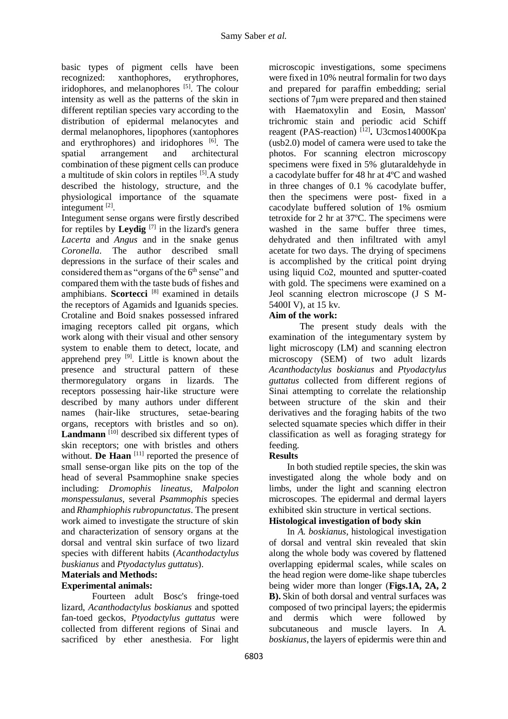basic types of pigment cells have been recognized: xanthophores, erythrophores, iridophores, and melanophores <sup>[5]</sup>. The colour intensity as well as the patterns of the skin in different reptilian species vary according to the distribution of epidermal melanocytes and dermal melanophores, lipophores (xantophores and erythrophores) and iridophores [6]. The spatial arrangement and architectural combination of these pigment cells can produce a multitude of skin colors in reptiles  $[5]$ . A study described the histology, structure, and the physiological importance of the squamate integument<sup>[2]</sup>.

Integument sense organs were firstly described for reptiles by **Leydig** [7] in the lizard's genera *Lacerta* and *Angus* and in the snake genus *Coronella*. The author described small depressions in the surface of their scales and considered them as "organs of the 6<sup>th</sup> sense" and compared them with the taste buds of fishes and amphibians. **Scortecci** [8] examined in details the receptors of Agamids and Iguanids species. Crotaline and Boid snakes possessed infrared imaging receptors called pit organs, which work along with their visual and other sensory system to enable them to detect, locate, and apprehend prey  $[9]$ . Little is known about the presence and structural pattern of these thermoregulatory organs in lizards. The receptors possessing hair-like structure were described by many authors under different names (hair-like structures, setae-bearing organs, receptors with bristles and so on). Landmann<sup>[10]</sup> described six different types of skin receptors; one with bristles and others without. **De Haan** <sup>[11]</sup> reported the presence of small sense-organ like pits on the top of the head of several Psammophine snake species including: *Dromophis lineatus*, *Malpolon monspessulanus,* several *Psammophis* species and *Rhamphiophis rubropunctatus*. The present work aimed to investigate the structure of skin and characterization of sensory organs at the dorsal and ventral skin surface of two lizard species with different habits (*Acanthodactylus buskianus* and *Ptyodactylus guttatus*).

## **Materials and Methods:**

# **Experimental animals:**

Fourteen adult Bosc's fringe-toed lizard, *Acanthodactylus boskianus* and spotted fan-toed geckos, *Ptyodactylus guttatus* were collected from different regions of Sinai and sacrificed by ether anesthesia. For light microscopic investigations, some specimens were fixed in 10% neutral formalin for two days and prepared for paraffin embedding; serial sections of 7μm were prepared and then stained with Haematoxylin and Eosin, Masson' trichromic stain and periodic acid Schiff reagent (PAS-reaction)<sup>[12]</sup>. U3cmos14000Kpa (usb2.0) model of camera were used to take the photos. For scanning electron microscopy specimens were fixed in 5% glutaraldehyde in a cacodylate buffer for 48 hr at 4ºC and washed in three changes of 0.1 % cacodylate buffer, then the specimens were post- fixed in a cacodylate buffered solution of 1% osmium tetroxide for 2 hr at 37ºC. The specimens were washed in the same buffer three times, dehydrated and then infiltrated with amyl acetate for two days. The drying of specimens is accomplished by the critical point drying using liquid Co2, mounted and sputter-coated with gold. The specimens were examined on a Jeol scanning electron microscope (J S M-5400I V), at 15 kv.

#### **Aim of the work:**

The present study deals with the examination of the integumentary system by light microscopy (LM) and scanning electron microscopy (SEM) of two adult lizards *Acanthodactylus boskianus* and *Ptyodactylus guttatus* collected from different regions of Sinai attempting to correlate the relationship between structure of the skin and their derivatives and the foraging habits of the two selected squamate species which differ in their classification as well as foraging strategy for feeding.

### **Results**

In both studied reptile species, the skin was investigated along the whole body and on limbs, under the light and scanning electron microscopes. The epidermal and dermal layers exhibited skin structure in vertical sections. **Histological investigation of body skin**

#### In *A. boskianus*, histological investigation of dorsal and ventral skin revealed that skin along the whole body was covered by flattened overlapping epidermal scales, while scales on the head region were dome-like shape tubercles being wider more than longer (**Figs.1A, 2A, 2 B).** Skin of both dorsal and ventral surfaces was composed of two principal layers; the epidermis and dermis which were followed by subcutaneous and muscle layers. In *A. boskianus*, the layers of epidermis were thin and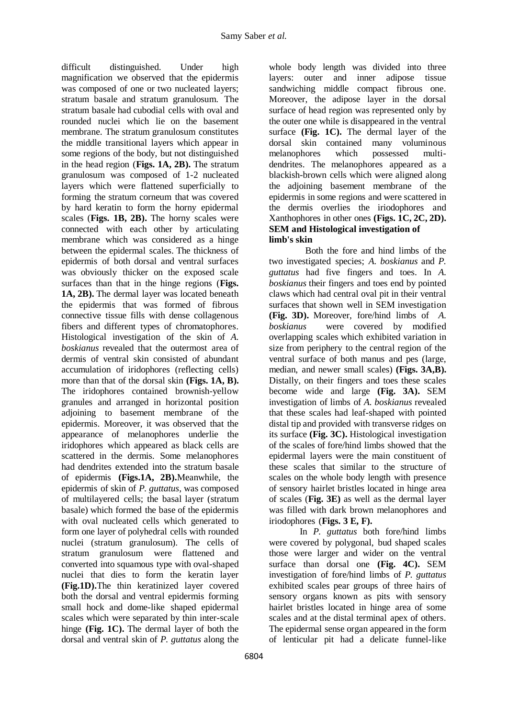difficult distinguished. Under high magnification we observed that the epidermis was composed of one or two nucleated layers; stratum basale and stratum granulosum. The stratum basale had cubodial cells with oval and rounded nuclei which lie on the basement membrane. The stratum granulosum constitutes the middle transitional layers which appear in some regions of the body, but not distinguished in the head region (**Figs. 1A, 2B).** The stratum granulosum was composed of 1-2 nucleated layers which were flattened superficially to forming the stratum corneum that was covered by hard keratin to form the horny epidermal scales (**Figs. 1B, 2B).** The horny scales were connected with each other by articulating membrane which was considered as a hinge between the epidermal scales. The thickness of epidermis of both dorsal and ventral surfaces was obviously thicker on the exposed scale surfaces than that in the hinge regions (**Figs. 1A, 2B).** The dermal layer was located beneath the epidermis that was formed of fibrous connective tissue fills with dense collagenous fibers and different types of chromatophores. Histological investigation of the skin of *A. boskianus* revealed that the outermost area of dermis of ventral skin consisted of abundant accumulation of iridophores (reflecting cells) more than that of the dorsal skin **(Figs. 1A, B).** The iridophores contained brownish-yellow granules and arranged in horizontal position adjoining to basement membrane of the epidermis. Moreover, it was observed that the appearance of melanophores underlie the iridophores which appeared as black cells are scattered in the dermis. Some melanophores had dendrites extended into the stratum basale of epidermis **(Figs.1A, 2B).**Meanwhile, the epidermis of skin of *P. guttatus*, was composed of multilayered cells; the basal layer (stratum basale) which formed the base of the epidermis with oval nucleated cells which generated to form one layer of polyhedral cells with rounded nuclei (stratum granulosum). The cells of stratum granulosum were flattened and converted into squamous type with oval-shaped nuclei that dies to form the keratin layer **(Fig.1D).**The thin keratinized layer covered both the dorsal and ventral epidermis forming small hock and dome-like shaped epidermal scales which were separated by thin inter-scale hinge **(Fig. 1C).** The dermal layer of both the dorsal and ventral skin of *P. guttatus* along the

whole body length was divided into three layers: outer and inner adipose tissue sandwiching middle compact fibrous one. Moreover, the adipose layer in the dorsal surface of head region was represented only by the outer one while is disappeared in the ventral surface **(Fig. 1C).** The dermal layer of the dorsal skin contained many voluminous melanophores which possessed multidendrites. The melanophores appeared as a blackish-brown cells which were aligned along the adjoining basement membrane of the epidermis in some regions and were scattered in the dermis overlies the iriodophores and Xanthophores in other ones **(Figs. 1C, 2C, 2D). SEM and Histological investigation of limb's skin**

Both the fore and hind limbs of the two investigated species; *A. boskianus* and *P. guttatus* had five fingers and toes. In *A. boskianus* their fingers and toes end by pointed claws which had central oval pit in their ventral surfaces that shown well in SEM investigation **(Fig. 3D).** Moreover, fore/hind limbs of *A. boskianus* were covered by modified overlapping scales which exhibited variation in size from periphery to the central region of the ventral surface of both manus and pes (large, median, and newer small scales) **(Figs. 3A,B).** Distally, on their fingers and toes these scales become wide and large **(Fig. 3A).** SEM investigation of limbs of *A. boskianus* revealed that these scales had leaf-shaped with pointed distal tip and provided with transverse ridges on its surface **(Fig. 3C).** Histological investigation of the scales of fore/hind limbs showed that the epidermal layers were the main constituent of these scales that similar to the structure of scales on the whole body length with presence of sensory hairlet bristles located in hinge area of scales (**Fig. 3E)** as well as the dermal layer was filled with dark brown melanophores and iriodophores (**Figs. 3 E, F).**

In *P. guttatus* both fore/hind limbs were covered by polygonal, bud shaped scales those were larger and wider on the ventral surface than dorsal one **(Fig. 4C).** SEM investigation of fore/hind limbs of *P. guttatus* exhibited scales pear groups of three hairs of sensory organs known as pits with sensory hairlet bristles located in hinge area of some scales and at the distal terminal apex of others. The epidermal sense organ appeared in the form of lenticular pit had a delicate funnel-like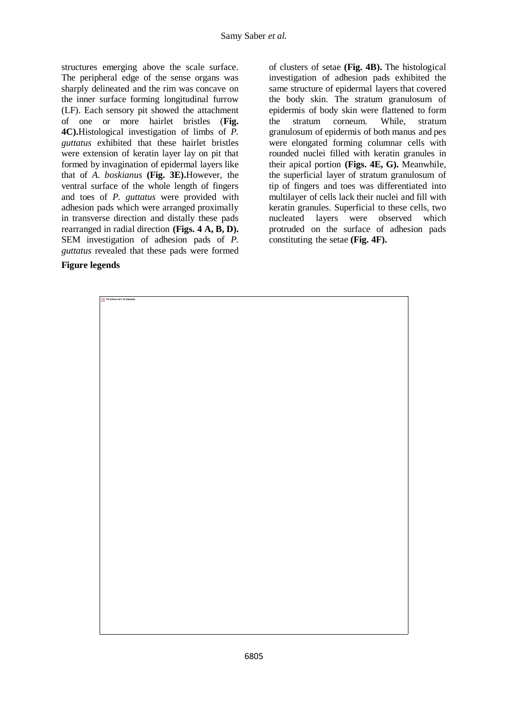structures emerging above the scale surface. The peripheral edge of the sense organs was sharply delineated and the rim was concave on the inner surface forming longitudinal furrow (LF). Each sensory pit showed the attachment of one or more hairlet bristles (**Fig. 4C).**Histological investigation of limbs of *P. guttatus* exhibited that these hairlet bristles were extension of keratin layer lay on pit that formed by invagination of epidermal layers like that of *A. boskianus* **(Fig. 3E).**However, the ventral surface of the whole length of fingers and toes of *P. guttatus* were provided with adhesion pads which were arranged proximally in transverse direction and distally these pads rearranged in radial direction **(Figs. 4 A, B, D).** SEM investigation of adhesion pads of *P. guttatus* revealed that these pads were formed

#### **Figure legends**

of clusters of setae **(Fig. 4B).** The histological investigation of adhesion pads exhibited the same structure of epidermal layers that covered the body skin. The stratum granulosum of epidermis of body skin were flattened to form the stratum corneum. While, stratum granulosum of epidermis of both manus and pes were elongated forming columnar cells with rounded nuclei filled with keratin granules in their apical portion **(Figs. 4E, G).** Meanwhile, the superficial layer of stratum granulosum of tip of fingers and toes was differentiated into multilayer of cells lack their nuclei and fill with keratin granules. Superficial to these cells, two nucleated layers were observed which protruded on the surface of adhesion pads constituting the setae **(Fig. 4F).**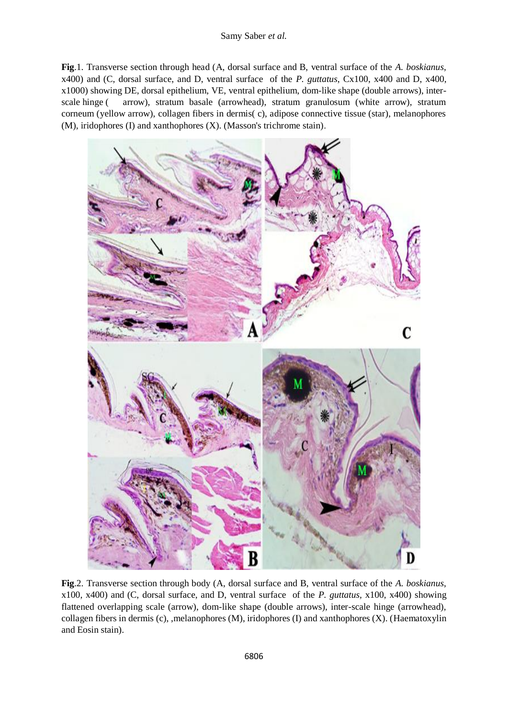#### Samy Saber *et al.*

**Fig**.1. Transverse section through head (A, dorsal surface and B, ventral surface of the *A. boskianus*, x400) and (C, dorsal surface, and D, ventral surface of the *P. guttatus*, Cx100, x400 and D, x400, x1000) showing DE, dorsal epithelium, VE, ventral epithelium, dom-like shape (double arrows), interscale hinge ( arrow), stratum basale (arrowhead), stratum granulosum (white arrow), stratum corneum (yellow arrow), collagen fibers in dermis( c), adipose connective tissue (star), melanophores (M), iridophores (I) and xanthophores (X). (Masson's trichrome stain).



**Fig**.2. Transverse section through body (A, dorsal surface and B, ventral surface of the *A. boskianus*, x100, x400) and (C, dorsal surface, and D, ventral surface of the *P. guttatus,* x100, x400) showing flattened overlapping scale (arrow), dom-like shape (double arrows), inter-scale hinge (arrowhead), collagen fibers in dermis (c), ,melanophores (M), iridophores (I) and xanthophores (X). (Haematoxylin and Eosin stain).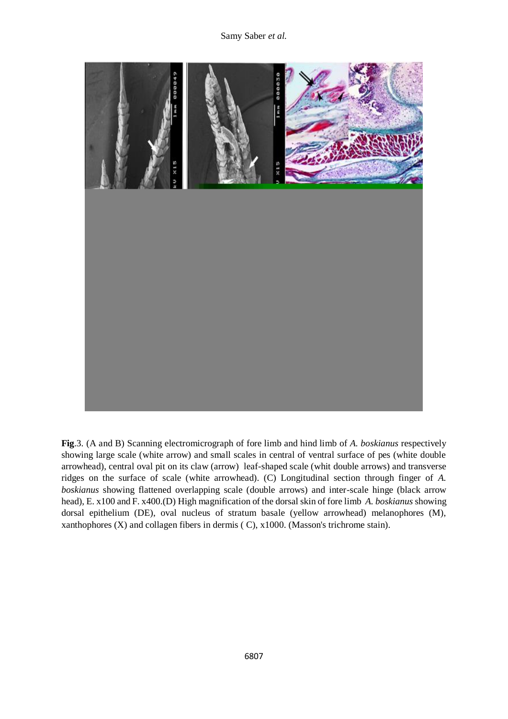

**Fig**.3. (A and B) Scanning electromicrograph of fore limb and hind limb of *A. boskianus* respectively showing large scale (white arrow) and small scales in central of ventral surface of pes (white double arrowhead), central oval pit on its claw (arrow) leaf-shaped scale (whit double arrows) and transverse ridges on the surface of scale (white arrowhead). (C) Longitudinal section through finger of *A. boskianus* showing flattened overlapping scale (double arrows) and inter-scale hinge (black arrow head), E. x100 and F. x400.(D) High magnification of the dorsal skin of fore limb *A. boskianus* showing dorsal epithelium (DE), oval nucleus of stratum basale (yellow arrowhead) melanophores (M), xanthophores (X) and collagen fibers in dermis ( C), x1000. (Masson's trichrome stain).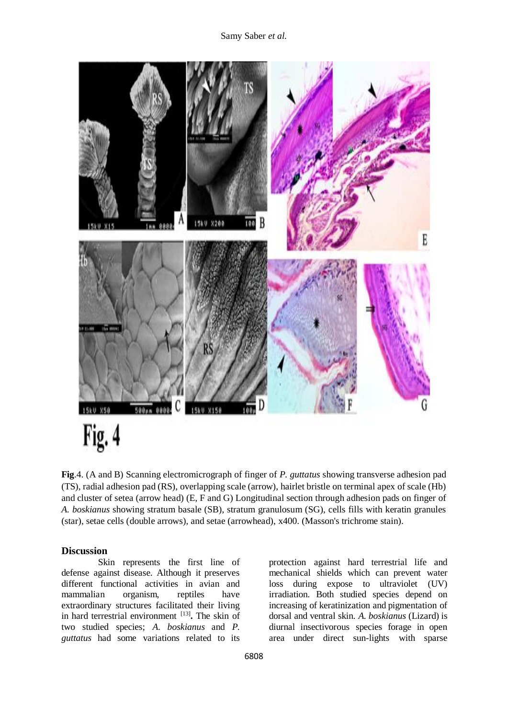

**Fig**.4. (A and B) Scanning electromicrograph of finger of *P. guttatus* showing transverse adhesion pad (TS), radial adhesion pad (RS), overlapping scale (arrow), hairlet bristle on terminal apex of scale (Hb) and cluster of setea (arrow head) (E, F and G) Longitudinal section through adhesion pads on finger of *A. boskianus* showing stratum basale (SB), stratum granulosum (SG), cells fills with keratin granules (star), setae cells (double arrows), and setae (arrowhead), x400. (Masson's trichrome stain).

#### **Discussion**

Skin represents the first line of defense against disease. Although it preserves different functional activities in avian and mammalian organism, reptiles have extraordinary structures facilitated their living in hard terrestrial environment [13] **.** The skin of two studied species; *A. boskianus* and *P. guttatus* had some variations related to its

protection against hard terrestrial life and mechanical shields which can prevent water loss during expose to ultraviolet (UV) irradiation. Both studied species depend on increasing of keratinization and pigmentation of dorsal and ventral skin. *A. boskianus* (Lizard) is diurnal insectivorous species forage in open area under direct sun-lights with sparse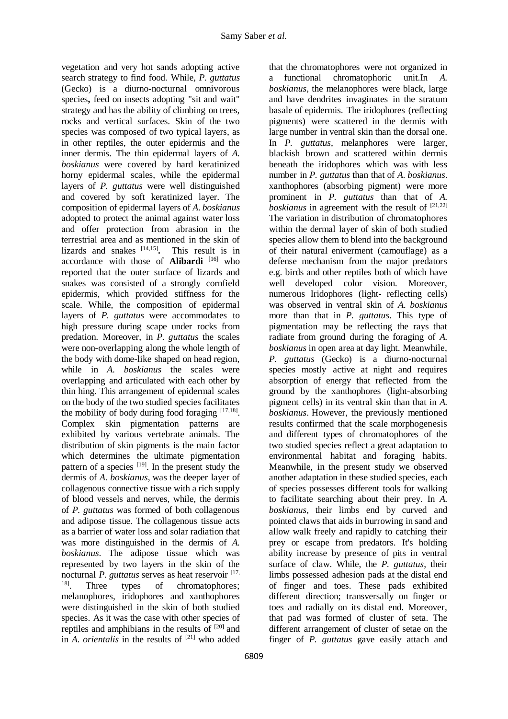vegetation and very hot sands adopting active search strategy to find food. While, *P. guttatus* (Gecko) is a diurno-nocturnal omnivorous species**,** feed on insects adopting "sit and wait" strategy and has the ability of climbing on trees, rocks and vertical surfaces. Skin of the two species was composed of two typical layers, as in other reptiles, the outer epidermis and the inner dermis. The thin epidermal layers of *A. boskianus* were covered by hard keratinized horny epidermal scales, while the epidermal layers of *P. guttatus* were well distinguished and covered by soft keratinized layer. The composition of epidermal layers of *A. boskianus* adopted to protect the animal against water loss and offer protection from abrasion in the terrestrial area and as mentioned in the skin of lizards and snakes  $[14,15]$ . **.** This result is in accordance with those of **Alibardi** [16] who reported that the outer surface of lizards and snakes was consisted of a strongly cornfield epidermis, which provided stiffness for the scale. While, the composition of epidermal layers of *P. guttatus* were accommodates to high pressure during scape under rocks from predation. Moreover, in *P. guttatus* the scales were non-overlapping along the whole length of the body with dome-like shaped on head region, while in *A. boskianus* the scales were overlapping and articulated with each other by thin hing. This arrangement of epidermal scales on the body of the two studied species facilitates the mobility of body during food foraging [17,18]. Complex skin pigmentation patterns are exhibited by various vertebrate animals. The distribution of skin pigments is the main factor which determines the ultimate pigmentation pattern of a species  $[19]$ . In the present study the dermis of *A. boskianus*, was the deeper layer of collagenous connective tissue with a rich supply of blood vessels and nerves, while, the dermis of *P. guttatus* was formed of both collagenous and adipose tissue. The collagenous tissue acts as a barrier of water loss and solar radiation that was more distinguished in the dermis of *A. boskianus*. The adipose tissue which was represented by two layers in the skin of the nocturnal *P. guttatus* serves as heat reservoir [17, 18] Three types of chromatophores; melanophores, iridophores and xanthophores were distinguished in the skin of both studied species. As it was the case with other species of reptiles and amphibians in the results of [20] and in  $\overline{A}$ *. orientalis* in the results of  $[21]$  who added

that the chromatophores were not organized in a functional chromatophoric unit.In *A. boskianus*, the melanophores were black, large and have dendrites invaginates in the stratum basale of epidermis. The iridophores (reflecting pigments) were scattered in the dermis with large number in ventral skin than the dorsal one. In *P. guttatus*, melanphores were larger, blackish brown and scattered within dermis beneath the iridophores which was with less number in *P. guttatus* than that of *A. boskianus*. xanthophores (absorbing pigment) were more prominent in *P. guttatus* than that of *A. boskianus* in agreement with the result of [21,22] The variation in distribution of chromatophores within the dermal layer of skin of both studied species allow them to blend into the background of their natural eniverment (camouflage) as a defense mechanism from the major predators e.g. birds and other reptiles both of which have well developed color vision. Moreover, numerous Iridophores (light- reflecting cells) was observed in ventral skin of *A. boskianus*  more than that in *P. guttatus*. This type of pigmentation may be reflecting the rays that radiate from ground during the foraging of *A. boskianus* in open area at day light. Meanwhile, *P. guttatus* (Gecko) is a diurno-nocturnal species mostly active at night and requires absorption of energy that reflected from the ground by the xanthophores (light-absorbing pigment cells) in its ventral skin than that in *A. boskianus*. However, the previously mentioned results confirmed that the scale morphogenesis and different types of chromatophores of the two studied species reflect a great adaptation to environmental habitat and foraging habits. Meanwhile, in the present study we observed another adaptation in these studied species, each of species possesses different tools for walking to facilitate searching about their prey. In *A. boskianus*, their limbs end by curved and pointed claws that aids in burrowing in sand and allow walk freely and rapidly to catching their prey or escape from predators. It's holding ability increase by presence of pits in ventral surface of claw. While, the *P. guttatus*, their limbs possessed adhesion pads at the distal end of finger and toes. These pads exhibited different direction; transversally on finger or toes and radially on its distal end. Moreover, that pad was formed of cluster of seta. The different arrangement of cluster of setae on the finger of *P. guttatus* gave easily attach and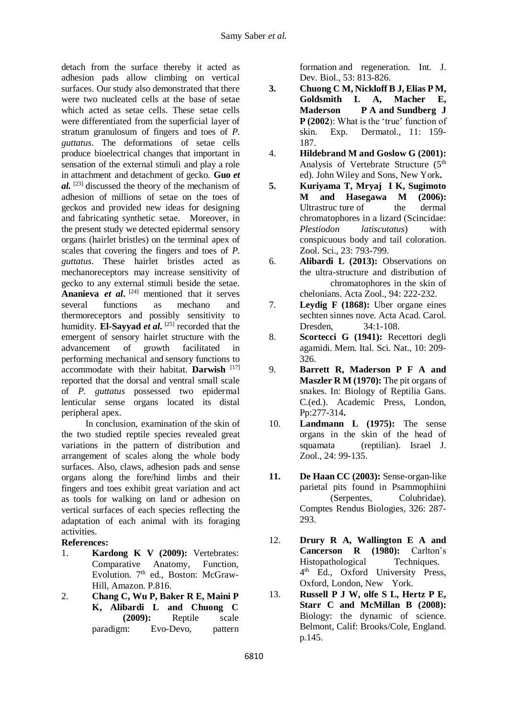detach from the surface thereby it acted as adhesion pads allow climbing on vertical surfaces. Our study also demonstrated that there were two nucleated cells at the base of setae which acted as setae cells. These setae cells were differentiated from the superficial layer of stratum granulosum of fingers and toes of *P. guttatus*. The deformations of setae cells produce bioelectrical changes that important in sensation of the external stimuli and play a role in attachment and detachment of gecko. **Guo** *et al.* [23] discussed the theory of the mechanism of adhesion of millions of setae on the toes of geckos and provided new ideas for designing and fabricating synthetic setae. Moreover, in the present study we detected epidermal sensory organs (hairlet bristles) on the terminal apex of scales that covering the fingers and toes of *P. guttatus*. These hairlet bristles acted as mechanoreceptors may increase sensitivity of gecko to any external stimuli beside the setae. **Ananieva** *et al***.** [24] mentioned that it serves several functions as mechano and thermoreceptors and possibly sensitivity to humidity. **El-Sayyad** *et al***.** [25] recorded that the emergent of sensory hairlet structure with the advancement of growth facilitated in performing mechanical and sensory functions to accommodate with their habitat. **Darwish** [17] reported that the dorsal and ventral small scale of *P. guttatus* possessed two epidermal lenticular sense organs located its distal peripheral apex.

In conclusion, examination of the skin of the two studied reptile species revealed great variations in the pattern of distribution and arrangement of scales along the whole body surfaces. Also, claws, adhesion pads and sense organs along the fore/hind limbs and their fingers and toes exhibit great variation and act as tools for walking on land or adhesion on vertical surfaces of each species reflecting the adaptation of each animal with its foraging activities.

### **References:**

- 1. **Kardong K V (2009):** Vertebrates: Comparative Anatomy, Function, Evolution. 7<sup>th</sup> ed., Boston: McGraw-Hill, Amazon. P.816.
- 2. **Chang C, Wu P, Baker R E, Maini P K, Alibardi L and Chuong C (2009):** Reptile scale paradigm: Evo-Devo, pattern

formation and regeneration. Int. J. Dev. Biol., 53: 813-826.

- **3. Chuong C M, Nickloff B J, Elias P M, Goldsmith L A, Macher E, Maderson P A and Sundberg J P (2002**): What is the 'true' function of skin. Exp. Dermatol., 11: 159- 187.
- 4. **Hildebrand M and Goslow G (2001):** Analysis of Vertebrate Structure (5<sup>th</sup>) ed). John Wiley and Sons, New York**.**
- **5. Kuriyama T, Mryaj I K, Sugimoto M and Hasegawa M (2006):**  Ultrastruc ture of the dermal chromatophores in a lizard (Scincidae: *Plestiodon latiscutatus*) with conspicuous body and tail coloration. Zool. Sci., 23: 793-799.
- 6. **Alibardi L (2013):** Observations on the ultra-structure and distribution of chromatophores in the skin of chelonians. Acta Zool., 94: 222-232.
- 7. **Leydig F (1868):** Uber organe eines sechten sinnes nove. Acta Acad. Carol. Dresden, 34:1-108.
- 8. **Scortecci G (1941):** Recettori degli agamidi. Mem. Ital. Sci. Nat., 10: 209- 326.
- 9. **Barrett R, Maderson P F A and Maszler R M (1970):** The pit organs of snakes. In: Biology of Reptilia Gans. C.(ed.). Academic Press, London, Pp:277-314**.**
- 10. **Landmann L (1975):** The sense organs in the skin of the head of squamata (reptilian). Israel J. Zool., 24: 99-135.
- **11. De Haan CC (2003):** Sense-organ-like parietal pits found in Psammophiini (Serpentes, Colubridae). Comptes Rendus Biologies, 326: 287- 293.
- 12. **Drury R A, Wallington E A and Cancerson R (1980):** Carlton's Histopathological Techniques. 4 th Ed., Oxford University Press, Oxford, London, New York.
- 13. **Russell P J W, olfe S L, Hertz P E, Starr C and McMillan B (2008):** Biology: the dynamic of science. Belmont, Calif: Brooks/Cole, England. p.145.